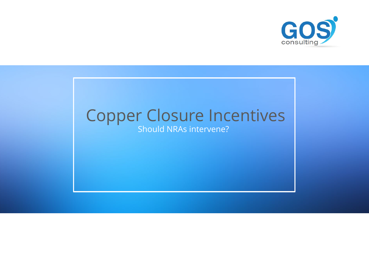## Should NRAs intervene? Copper Closure Incentives

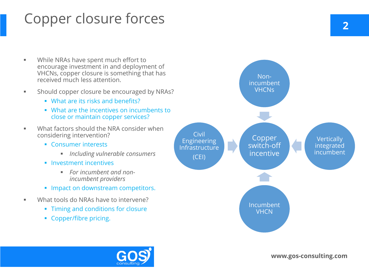# Copper closure forces

- **While NRAs have spent much effort to** encourage investment in and deployment of VHCNs, copper closure is something that has received much less attention.
- **Should copper closure be encouraged by NRAs?** 
	- **What are its risks and benefits?**
	- What are the incentives on incumbents to close or maintain copper services?
- **What factors should the NRA consider when** considering intervention?
	- **Consumer interests** 
		- *Including vulnerable consumers*
	- **Investment incentives** 
		- *For incumbent and nonincumbent providers*
	- **Impact on downstream competitors.**
- What tools do NRAs have to intervene?
	- **Timing and conditions for closure**
	- **Copper/fibre pricing.**

**Vertically** integrated incumbent

Incumbent **VHCN** 

**2**

Copper switch-off incentive

Nonincumbent VHCNs

Civil Engineering Infrastructure (CEI)

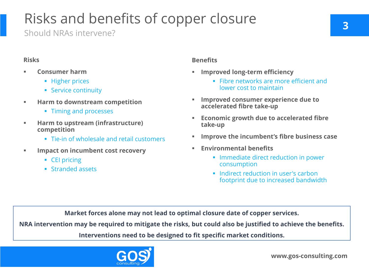Should NRAs intervene?

# Risks and benefits of copper closure

| <b>Risks</b>                |                                                                                                | <b>Benefits</b>  |                                                                                 |
|-----------------------------|------------------------------------------------------------------------------------------------|------------------|---------------------------------------------------------------------------------|
| ш                           | <b>Consumer harm</b><br>• Higher prices<br>• Service continuity                                | $\blacksquare$   | <b>Improved</b><br>Fibre<br>lowe                                                |
| $\mathcal{L}_{\mathcal{A}}$ | <b>Harm to downstream competition</b><br>• Timing and processes                                | $\blacksquare$   | <b>Improved</b><br>accelerate                                                   |
| $\mathcal{L}_{\mathcal{A}}$ | Harm to upstream (infrastructure)<br>competition<br>• Tie-in of wholesale and retail customers | $\blacksquare$   | <b>Economic</b><br>take-up<br><b>Improve th</b>                                 |
|                             | <b>Impact on incumbent cost recovery</b><br>• CEI pricing<br><b>Stranded assets</b>            | $\blacksquare$ . | <b>Environme</b><br>Imm<br>cons<br>Indir<br>$\mathcal{L}_{\mathcal{A}}$<br>foot |

### **Improve the incumbent's fibre business case**

### **Ental benefits**

Indiate direct reduction in power  $sum$ ption

rect reduction in user's carbon print due to increased bandwidth

**3**

**CONSUMER EXPERIENCE due to d fibre take-up** 

**growth due to accelerated fibre** 

**Market forces alone may not lead to optimal closure date of copper services.**

**NRA intervention may be required to mitigate the risks, but could also be justified to achieve the benefits.**

**Interventions need to be designed to fit specific market conditions.**



## **Iong-term efficiency**

e networks are more efficient and **Pr** cost to maintain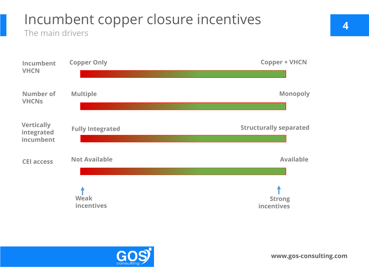## Incumbent copper closure incentives The main drivers

| Incumbent<br><b>VHCN</b>                     | <b>Copper Only</b>        | <b>Copper + VHCN</b>          |
|----------------------------------------------|---------------------------|-------------------------------|
| <b>Number of</b><br><b>VHCNs</b>             | <b>Multiple</b>           | <b>Monopoly</b>               |
| <b>Vertically</b><br>integrated<br>incumbent | <b>Fully Integrated</b>   | <b>Structurally separated</b> |
| <b>CEI access</b>                            | <b>Not Available</b>      | <b>Available</b>              |
|                                              | <b>Weak</b><br>incentives | <b>Strong</b><br>incentives   |





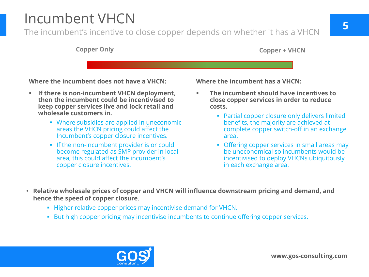The incumbent's incentive to close copper depends on whether it has a VHCN

## Incumbent VHCN

- **costs.**
	-
	-
	-
- **Relative wholesale prices of copper and VHCN will influence downstream pricing and demand, and hence the speed of copper closure**.
	- Higher relative copper prices may incentivise demand for VHCN.
	- **But high copper pricing may incentivise incumbents to continue offering copper services.**



**Where the incumbent has a VHCN:**

■ Partial copper closure only delivers limited benefits, the majority are achieved at complete copper switch-off in an exchange area.

 **The incumbent should have incentives to close copper services in order to reduce** 

**• Offering copper services in small areas may** be uneconomical so incumbents would be incentivised to deploy VHCNs ubiquitously in each exchange area.

**Where the incumbent does not have a VHCN:**

- **If there is non-incumbent VHCN deployment, then the incumbent could be incentivised to keep copper services live and lock retail and wholesale customers in.**
	- Where subsidies are applied in uneconomic areas the VHCN pricing could affect the Incumbent's copper closure incentives.
	- **If the non-incumbent provider is or could** become regulated as SMP provider in local area, this could affect the incumbent's copper closure incentives.

## **Copper Only Copper + VHCN**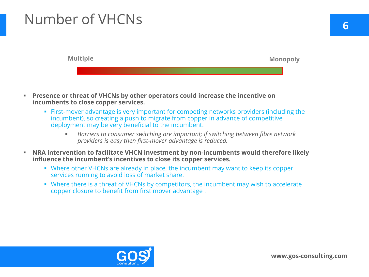- **Presence or threat of VHCNs by other operators could increase the incentive on incumbents to close copper services.**
	- First-mover advantage is very important for competing networks providers (including the incumbent), so creating a push to migrate from copper in advance of competitive deployment may be very beneficial to the incumbent.
		- *Barriers to consumer switching are important; if switching between fibre network providers is easy then first-mover advantage is reduced.*
- **NRA intervention to facilitate VHCN investment by non-incumbents would therefore likely influence the incumbent's incentives to close its copper services.**
	- Where other VHCNs are already in place, the incumbent may want to keep its copper services running to avoid loss of market share.
	- Where there is a threat of VHCNs by competitors, the incumbent may wish to accelerate copper closure to benefit from first mover advantage .



# Number of VHCNs **<sup>6</sup>**

**Multiple Monopoly**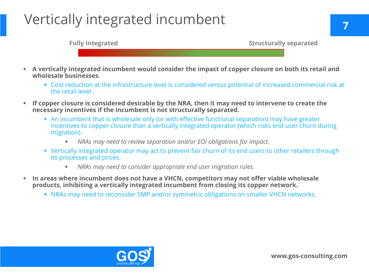- **A vertically integrated incumbent would consider the impact of copper closure on both its retail and wholesale businesses.**
	- Cost reduction at the infrastructure level is considered versus potential of increased commercial risk at the retail level .
- **If copper closure is considered desirable by the NRA, then it may need to intervene to create the necessary incentives if the incumbent is not structurally separated.**
	- An incumbent that is wholesale only (or with effective functional separation) may have greater incentives to copper closure than a vertically integrated operator (which risks end user churn during migration).
		- *NRAs may need to review separation and/or EOI obligations for impact.*
	- Vertically integrated operator may act to prevent fair churn of its end users to other retailers through its processes and prices.
		- *NRAs may need to consider appropriate end user migration rules.*
- **In areas where incumbent does not have a VHCN, competitors may not offer viable wholesale products, inhibiting a vertically integrated incumbent from closing its copper network.**
	- NRAs may need to reconsider SMP and/or symmetric obligations on smaller VHCN networks.



# Vertically integrated incumbent **<sup>7</sup>**

### **Fully Integrated Structurally separated**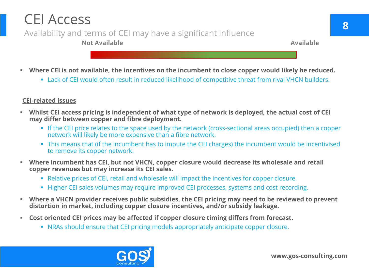- **Where CEI is not available, the incentives on the incumbent to close copper would likely be reduced.**
	- Lack of CEI would often result in reduced likelihood of competitive threat from rival VHCN builders.

- **Whilst CEI access pricing is independent of what type of network is deployed, the actual cost of CEI may differ between copper and fibre deployment.**
	- **If the CEI price relates to the space used by the network (cross-sectional areas occupied) then a copper** network will likely be more expensive than a fibre network.
	- This means that (if the incumbent has to impute the CEI charges) the incumbent would be incentivised to remove its copper network.
- **Where incumbent has CEI, but not VHCN, copper closure would decrease its wholesale and retail copper revenues but may increase its CEI sales.** 
	- Relative prices of CEI, retail and wholesale will impact the incentives for copper closure.
	- **Higher CEI sales volumes may require improved CEI processes, systems and cost recording.**
- **Where a VHCN provider receives public subsidies, the CEI pricing may need to be reviewed to prevent distortion in market, including copper closure incentives, and/or subsidy leakage.**
- **Cost oriented CEI prices may be affected if copper closure timing differs from forecast.** 
	- **NRAs should ensure that CEI pricing models appropriately anticipate copper closure.**



## **CEI-related issues**

## CEI Access Availability and terms of CEI may have a significant influence **Not Available Available**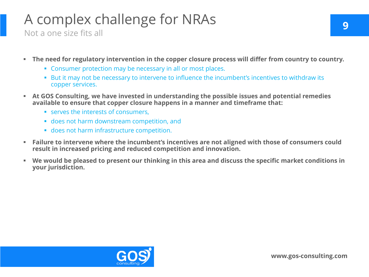- **The need for regulatory intervention in the copper closure process will differ from country to country.**
	- **Example 2** Consumer protection may be necessary in all or most places.
	- But it may not be necessary to intervene to influence the incumbent's incentives to withdraw its copper services.
- **At GOS Consulting, we have invested in understanding the possible issues and potential remedies available to ensure that copper closure happens in a manner and timeframe that:** 
	- **SERVES the interests of consumers,**
	- does not harm downstream competition, and
	- **does not harm infrastructure competition.**
- **Failure to intervene where the incumbent's incentives are not aligned with those of consumers could result in increased pricing and reduced competition and innovation.**
- **We would be pleased to present our thinking in this area and discuss the specific market conditions in your jurisdiction.**



## A complex challenge for NRAs Not a one size fits all